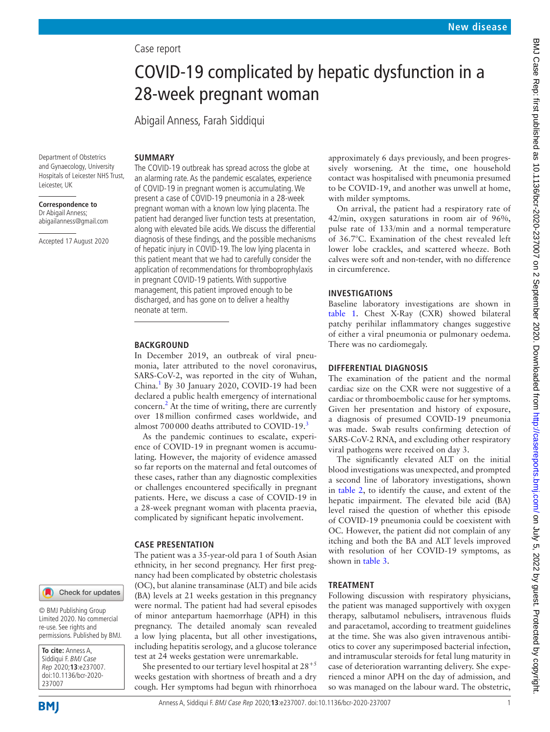## Case report

# COVID-19 complicated by hepatic dysfunction in a 28-week pregnant woman

Abigail Anness, Farah Siddiqui

# **SUMMARY**

Department of Obstetrics and Gynaecology, University Hospitals of Leicester NHS Trust, Leicester, UK

**Correspondence to** Dr Abigail Anness; abigailanness@gmail.com

Accepted 17 August 2020

The COVID-19 outbreak has spread across the globe at an alarming rate. As the pandemic escalates, experience of COVID-19 in pregnant women is accumulating. We present a case of COVID-19 pneumonia in a 28-week pregnant woman with a known low lying placenta. The patient had deranged liver function tests at presentation, along with elevated bile acids. We discuss the differential diagnosis of these findings, and the possible mechanisms of hepatic injury in COVID-19. The low lying placenta in this patient meant that we had to carefully consider the application of recommendations for thromboprophylaxis in pregnant COVID-19 patients. With supportive management, this patient improved enough to be discharged, and has gone on to deliver a healthy neonate at term.

#### **BACKGROUND**

In December 2019, an outbreak of viral pneumonia, later attributed to the novel coronavirus, SARS-CoV-2, was reported in the city of Wuhan, China.<sup>1</sup> By 30 January 2020, COVID-19 had been declared a public health emergency of international concern.<sup>[2](#page-2-1)</sup> At the time of writing, there are currently over 18million confirmed cases worldwide, and almost 700000 deaths attributed to COVID-19.<sup>[3](#page-2-2)</sup>

As the pandemic continues to escalate, experience of COVID-19 in pregnant women is accumulating. However, the majority of evidence amassed so far reports on the maternal and fetal outcomes of these cases, rather than any diagnostic complexities or challenges encountered specifically in pregnant patients. Here, we discuss a case of COVID-19 in a 28-week pregnant woman with placenta praevia, complicated by significant hepatic involvement.

### **CASE PRESENTATION**

The patient was a 35-year-old para 1 of South Asian ethnicity, in her second pregnancy. Her first pregnancy had been complicated by obstetric cholestasis (OC), but alanine transaminase (ALT) and bile acids (BA) levels at 21 weeks gestation in this pregnancy were normal. The patient had had several episodes of minor antepartum haemorrhage (APH) in this pregnancy. The detailed anomaly scan revealed a low lying placenta, but all other investigations, including hepatitis serology, and a glucose tolerance test at 24 weeks gestation were unremarkable.

She presented to our tertiary level hospital at  $28^{+5}$ weeks gestation with shortness of breath and a dry cough. Her symptoms had begun with rhinorrhoea approximately 6 days previously, and been progressively worsening. At the time, one household contact was hospitalised with pneumonia presumed to be COVID-19, and another was unwell at home, with milder symptoms.

On arrival, the patient had a respiratory rate of 42/min, oxygen saturations in room air of 96%, pulse rate of 133/min and a normal temperature of 36.7°C. Examination of the chest revealed left lower lobe crackles, and scattered wheeze. Both calves were soft and non-tender, with no difference in circumference.

## **INVESTIGATIONS**

Baseline laboratory investigations are shown in [table](#page-1-0) 1. Chest X-Ray (CXR) showed bilateral patchy perihilar inflammatory changes suggestive of either a viral pneumonia or pulmonary oedema. There was no cardiomegaly.

### **DIFFERENTIAL DIAGNOSIS**

The examination of the patient and the normal cardiac size on the CXR were not suggestive of a cardiac or thromboembolic cause for her symptoms. Given her presentation and history of exposure, a diagnosis of presumed COVID-19 pneumonia was made. Swab results confirming detection of SARS-CoV-2 RNA, and excluding other respiratory viral pathogens were received on day 3.

The significantly elevated ALT on the initial blood investigations was unexpected, and prompted a second line of laboratory investigations, shown in [table](#page-1-1) 2, to identify the cause, and extent of the hepatic impairment. The elevated bile acid (BA) level raised the question of whether this episode of COVID-19 pneumonia could be coexistent with OC. However, the patient did not complain of any itching and both the BA and ALT levels improved with resolution of her COVID-19 symptoms, as shown in [table](#page-1-2) 3.

#### **TREATMENT**

Following discussion with respiratory physicians, the patient was managed supportively with oxygen therapy, salbutamol nebulisers, intravenous fluids and paracetamol, according to treatment guidelines at the time. She was also given intravenous antibiotics to cover any superimposed bacterial infection, and intramuscular steroids for fetal lung maturity in case of deterioration warranting delivery. She experienced a minor APH on the day of admission, and so was managed on the labour ward. The obstetric,

**BMI** 

237007

**To cite:** Anness A, Siddiqui F. BMJ Case Rep 2020;**13**:e237007. doi:10.1136/bcr-2020-

© BMJ Publishing Group Limited 2020. No commercial re-use. See rights and permissions. Published by BMJ.

Check for updates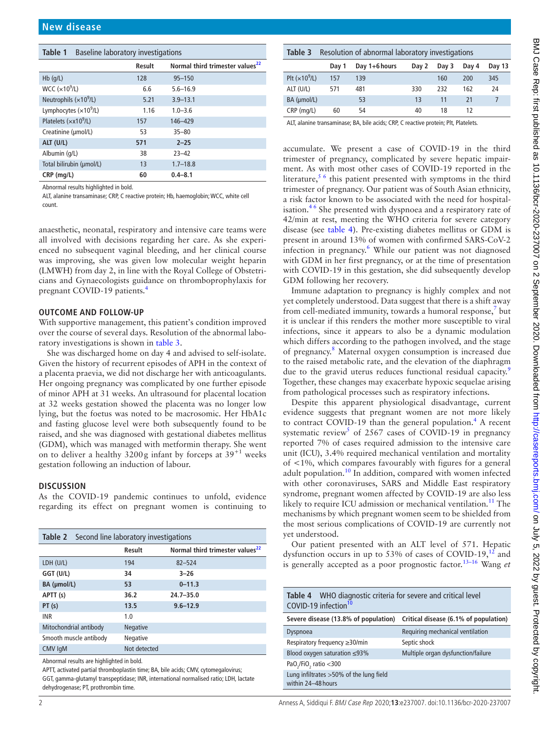<span id="page-1-0"></span>

| Table 1<br><b>Baseline laboratory investigations</b> |        |                                             |  |  |  |  |
|------------------------------------------------------|--------|---------------------------------------------|--|--|--|--|
|                                                      | Result | Normal third trimester values <sup>22</sup> |  |  |  |  |
| $Hb$ (q/L)                                           | 128    | $95 - 150$                                  |  |  |  |  |
| WCC $(x10^9/L)$                                      | 6.6    | $5.6 - 16.9$                                |  |  |  |  |
| Neutrophils $(x109/L)$                               | 5.21   | $3.9 - 13.1$                                |  |  |  |  |
| Lymphocytes $(x109/L)$                               | 1.16   | $1.0 - 3.6$                                 |  |  |  |  |
| Platelets $(xx109/L)$                                | 157    | 146-429                                     |  |  |  |  |
| Creatinine (µmol/L)                                  | 53     | $35 - 80$                                   |  |  |  |  |
| ALT (U/L)                                            | 571    | $2 - 25$                                    |  |  |  |  |
| Albumin (g/L)                                        | 38     | $23 - 42$                                   |  |  |  |  |
| Total bilirubin (umol/L)                             | 13     | $1.7 - 18.8$                                |  |  |  |  |
| CRP (mg/L)                                           | 60     | $0.4 - 8.1$                                 |  |  |  |  |

Abnormal results highlighted in bold.

ALT, alanine transaminase; CRP, C reactive protein; Hb, haemoglobin; WCC, white cell count.

anaesthetic, neonatal, respiratory and intensive care teams were all involved with decisions regarding her care. As she experienced no subsequent vaginal bleeding, and her clinical course was improving, she was given low molecular weight heparin (LMWH) from day 2, in line with the Royal College of Obstetricians and Gynaecologists guidance on thromboprophylaxis for pregnant COVID-19 patients.<sup>[4](#page-2-3)</sup>

#### **OUTCOME AND FOLLOW-UP**

With supportive management, this patient's condition improved over the course of several days. Resolution of the abnormal laboratory investigations is shown in [table](#page-1-2) 3.

She was discharged home on day 4 and advised to self-isolate. Given the history of recurrent episodes of APH in the context of a placenta praevia, we did not discharge her with anticoagulants. Her ongoing pregnancy was complicated by one further episode of minor APH at 31 weeks. An ultrasound for placental location at 32 weeks gestation showed the placenta was no longer low lying, but the foetus was noted to be macrosomic. Her HbA1c and fasting glucose level were both subsequently found to be raised, and she was diagnosed with gestational diabetes mellitus (GDM), which was managed with metformin therapy. She went on to deliver a healthy  $3200g$  infant by forceps at  $39^{+1}$  weeks gestation following an induction of labour.

#### **DISCUSSION**

As the COVID-19 pandemic continues to unfold, evidence regarding its effect on pregnant women is continuing to

<span id="page-1-1"></span>

| <b>Table 2</b> Second line laboratory investigations |                 |                                             |  |  |  |  |
|------------------------------------------------------|-----------------|---------------------------------------------|--|--|--|--|
|                                                      | Result          | Normal third trimester values <sup>22</sup> |  |  |  |  |
| LDH (U/L)                                            | 194             | $82 - 524$                                  |  |  |  |  |
| GGT (U/L)                                            | 34              | $3 - 26$                                    |  |  |  |  |
| BA (µmol/L)                                          | 53              | $0 - 11.3$                                  |  |  |  |  |
| APTT (s)                                             | 36.2            | $24.7 - 35.0$                               |  |  |  |  |
| PT(s)                                                | 13.5            | $9.6 - 12.9$                                |  |  |  |  |
| <b>INR</b>                                           | 1.0             |                                             |  |  |  |  |
| Mitochondrial antibody                               | <b>Negative</b> |                                             |  |  |  |  |
| Smooth muscle antibody                               | Negative        |                                             |  |  |  |  |
| CMV IgM                                              | Not detected    |                                             |  |  |  |  |

Abnormal results are highlighted in bold.

APTT, activated partial thromboplastin time; BA, bile acids; CMV, cytomegalovirus; GGT, gamma-glutamyl transpeptidase; INR, international normalised ratio; LDH, lactate dehydrogenase; PT, prothrombin time.

<span id="page-1-2"></span>

| Resolution of abnormal laboratory investigations<br>Table 3                                                             |       |                 |       |       |       |                |
|-------------------------------------------------------------------------------------------------------------------------|-------|-----------------|-------|-------|-------|----------------|
|                                                                                                                         | Day 1 | Day $1+6$ hours | Day 2 | Day 3 | Day 4 | Day 13         |
| Plt $(x10^9/L)$                                                                                                         | 157   | 139             |       | 160   | 200   | 345            |
| ALT (U/L)                                                                                                               | 571   | 481             | 330   | 232   | 162   | 24             |
| BA (µmol/L)                                                                                                             |       | 53              | 13    | 11    | 21    | $\overline{7}$ |
| CRP (mg/L)                                                                                                              | 60    | 54              | 40    | 18    | 12    |                |
| ALT, alanine transaminase; BA, bile acids; CRP, C reactive protein; Plt, Platelets.                                     |       |                 |       |       |       |                |
|                                                                                                                         |       |                 |       |       |       |                |
| accumulate. We present a case of COVID-19 in the third<br>trimester of pregnancy, complicated by severe hepatic impair- |       |                 |       |       |       |                |

ment. As with most other cases of COVID-19 reported in the literature,<sup>[5 6](#page-2-4)</sup> this patient presented with symptoms in the third trimester of pregnancy. Our patient was of South Asian ethnicity, a risk factor known to be associated with the need for hospitalisation.<sup>46</sup> She presented with dyspnoea and a respiratory rate of 42/min at rest, meeting the WHO criteria for severe category disease (see [table](#page-1-3) 4). Pre-existing diabetes mellitus or GDM is present in around 13% of women with confirmed SARS-CoV-2 infection in pregnancy.<sup>6</sup> While our patient was not diagnosed with GDM in her first pregnancy, or at the time of presentation with COVID-19 in this gestation, she did subsequently develop GDM following her recovery.

Immune adaptation to pregnancy is highly complex and not yet completely understood. Data suggest that there is a shift away from cell-mediated immunity, towards a humoral response,<sup>[7](#page-2-6)</sup> but it is unclear if this renders the mother more susceptible to viral infections, since it appears to also be a dynamic modulation which differs according to the pathogen involved, and the stage of pregnancy.<sup>8</sup> Maternal oxygen consumption is increased due to the raised metabolic rate, and the elevation of the diaphragm due to the gravid uterus reduces functional residual capacity.<sup>[9](#page-2-8)</sup> Together, these changes may exacerbate hypoxic sequelae arising from pathological processes such as respiratory infections.

Despite this apparent physiological disadvantage, current evidence suggests that pregnant women are not more likely to contract COVID-19 than the general population.<sup>[4](#page-2-3)</sup> A recent systematic review<sup>[5](#page-2-4)</sup> of 2567 cases of COVID-19 in pregnancy reported 7% of cases required admission to the intensive care unit (ICU), 3.4% required mechanical ventilation and mortality of <1%, which compares favourably with figures for a general adult population.<sup>10</sup> In addition, compared with women infected with other coronaviruses, SARS and Middle East respiratory syndrome, pregnant women affected by COVID-19 are also less likely to require ICU admission or mechanical ventilation.<sup>11</sup> The mechanisms by which pregnant women seem to be shielded from the most serious complications of COVID-19 are currently not yet understood.

Our patient presented with an ALT level of 571. Hepatic dysfunction occurs in up to  $53\%$  of cases of COVID-19,<sup>12</sup> and is generally accepted as a poor prognostic factor.[13–16](#page-2-12) Wang *et* 

<span id="page-1-3"></span>

| <b>Table 4</b> WHO diagnostic criteria for severe and critical level<br>COVID-19 infection <sup>10</sup> |                                       |  |  |
|----------------------------------------------------------------------------------------------------------|---------------------------------------|--|--|
| Severe disease (13.8% of population)                                                                     | Critical disease (6.1% of population) |  |  |
| <b>Dyspnoea</b>                                                                                          | Requiring mechanical ventilation      |  |  |
| Respiratory frequency ≥30/min                                                                            | Septic shock                          |  |  |
| Blood oxygen saturation $\leq$ 93%                                                                       | Multiple organ dysfunction/failure    |  |  |
| PaO <sub>2</sub> /FiO <sub>2</sub> ratio < 300                                                           |                                       |  |  |
| Lung infiltrates > 50% of the lung field<br>within 24-48 hours                                           |                                       |  |  |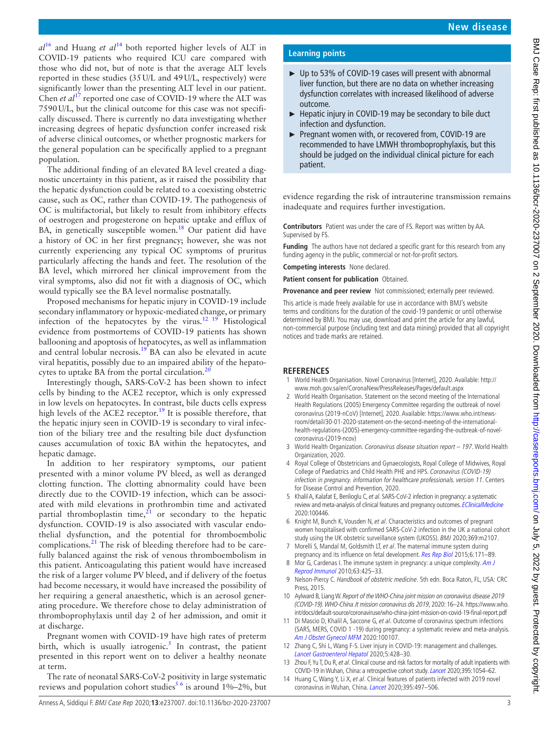$a^{16}$  and Huang *et al*<sup>[14](#page-2-13)</sup> both reported higher levels of ALT in COVID-19 patients who required ICU care compared with those who did not, but of note is that the average ALT levels reported in these studies (35U/L and 49U/L, respectively) were significantly lower than the presenting ALT level in our patient. Chen *et al*<sup>17</sup> reported one case of COVID-19 where the ALT was 7590U/L, but the clinical outcome for this case was not specifically discussed. There is currently no data investigating whether increasing degrees of hepatic dysfunction confer increased risk of adverse clinical outcomes, or whether prognostic markers for the general population can be specifically applied to a pregnant population.

The additional finding of an elevated BA level created a diagnostic uncertainty in this patient, as it raised the possibility that the hepatic dysfunction could be related to a coexisting obstetric cause, such as OC, rather than COVID-19. The pathogenesis of OC is multifactorial, but likely to result from inhibitory effects of oestrogen and progesterone on hepatic uptake and efflux of BA, in genetically susceptible women.<sup>18</sup> Our patient did have a history of OC in her first pregnancy; however, she was not currently experiencing any typical OC symptoms of pruritus particularly affecting the hands and feet. The resolution of the BA level, which mirrored her clinical improvement from the viral symptoms, also did not fit with a diagnosis of OC, which would typically see the BA level normalise postnatally.

Proposed mechanisms for hepatic injury in COVID-19 include secondary inflammatory or hypoxic-mediated change, or primary infection of the hepatocytes by the virus.<sup>12</sup> <sup>19</sup> Histological evidence from postmortems of COVID-19 patients has shown ballooning and apoptosis of hepatocytes, as well as inflammation and central lobular necrosis.[19](#page-3-4) BA can also be elevated in acute viral hepatitis, possibly due to an impaired ability of the hepatocytes to uptake BA from the portal circulation. $<sup>2</sup>$ </sup>

Interestingly though, SARS-CoV-2 has been shown to infect cells by binding to the ACE2 receptor, which is only expressed in low levels on hepatocytes. In contrast, bile ducts cells express high levels of the ACE2 receptor.<sup>19</sup> It is possible therefore, that the hepatic injury seen in COVID-19 is secondary to viral infection of the biliary tree and the resulting bile duct dysfunction causes accumulation of toxic BA within the hepatocytes, and hepatic damage.

In addition to her respiratory symptoms, our patient presented with a minor volume PV bleed, as well as deranged clotting function. The clotting abnormality could have been directly due to the COVID-19 infection, which can be associated with mild elevations in prothrombin time and activated partial thromboplastin time, $\frac{2i}{r}$  or secondary to the hepatic dysfunction. COVID-19 is also associated with vascular endothelial dysfunction, and the potential for thromboembolic complications.<sup>[21](#page-3-6)</sup> The risk of bleeding therefore had to be carefully balanced against the risk of venous thromboembolism in this patient. Anticoagulating this patient would have increased the risk of a larger volume PV bleed, and if delivery of the foetus had become necessary, it would have increased the possibility of her requiring a general anaesthetic, which is an aerosol generating procedure. We therefore chose to delay administration of thromboprophylaxis until day 2 of her admission, and omit it at discharge.

Pregnant women with COVID-19 have high rates of preterm birth, which is usually iatrogenic.<sup>5</sup> In contrast, the patient presented in this report went on to deliver a healthy neonate at term.

The rate of neonatal SARS-CoV-2 positivity in large systematic reviews and population cohort studies<sup>56</sup> is around 1%–2%, but

## **Learning points**

- ► Up to 53% of COVID-19 cases will present with abnormal liver function, but there are no data on whether increasing dysfunction correlates with increased likelihood of adverse outcome.
- ► Hepatic injury in COVID-19 may be secondary to bile duct infection and dysfunction.
- ► Pregnant women with, or recovered from, COVID-19 are recommended to have LMWH thromboprophylaxis, but this should be judged on the individual clinical picture for each patient.

evidence regarding the risk of intrauterine transmission remains inadequate and requires further investigation.

**Contributors** Patient was under the care of FS. Report was written by AA. Supervised by FS.

**Funding** The authors have not declared a specific grant for this research from any funding agency in the public, commercial or not-for-profit sectors.

**Competing interests** None declared.

**Patient consent for publication** Obtained.

**Provenance and peer review** Not commissioned; externally peer reviewed.

This article is made freely available for use in accordance with BMJ's website terms and conditions for the duration of the covid-19 pandemic or until otherwise determined by BMJ. You may use, download and print the article for any lawful, non-commercial purpose (including text and data mining) provided that all copyright notices and trade marks are retained.

#### **REFERENCES**

- <span id="page-2-0"></span>1 World Health Organisation. Novel Coronavirus [Internet], 2020. Available: [http://](http://www.moh.gov.sa/en/CoronaNew/PressReleases/Pages/default.aspx) [www.moh.gov.sa/en/CoronaNew/PressReleases/Pages/default.aspx](http://www.moh.gov.sa/en/CoronaNew/PressReleases/Pages/default.aspx)
- <span id="page-2-1"></span>2 World Health Organisation. Statement on the second meeting of the International Health Regulations (2005) Emergency Committee regarding the outbreak of novel coronavirus (2019-nCoV) [Internet], 2020. Available: [https://www.who.int/news](https://www.who.int/news-room/detail/30-01-2020-statement-on-the-second-meeting-of-the-international-health-regulations-(2005)-emergency-committee-regarding-the-outbreak-of-novel-coronavirus-(2019-ncov))[room/detail/30-01-2020-statement-on-the-second-meeting-of-the-international](https://www.who.int/news-room/detail/30-01-2020-statement-on-the-second-meeting-of-the-international-health-regulations-(2005)-emergency-committee-regarding-the-outbreak-of-novel-coronavirus-(2019-ncov))[health-regulations-\(2005\)-emergency-committee-regarding-the-outbreak-of-novel](https://www.who.int/news-room/detail/30-01-2020-statement-on-the-second-meeting-of-the-international-health-regulations-(2005)-emergency-committee-regarding-the-outbreak-of-novel-coronavirus-(2019-ncov))[coronavirus-\(2019-ncov\)](https://www.who.int/news-room/detail/30-01-2020-statement-on-the-second-meeting-of-the-international-health-regulations-(2005)-emergency-committee-regarding-the-outbreak-of-novel-coronavirus-(2019-ncov))
- <span id="page-2-2"></span>3 World Health Organization. Coronavirus disease situation report – 197. World Health Organization, 2020.
- <span id="page-2-3"></span>4 Royal College of Obstetricians and Gynaecologists, Royal College of Midwives, Royal College of Paediatrics and Child Health PHE and HPS. Coronavirus (COVID-19) infection in pregnancy. information for healthcare professionals. version 11. Centers for Disease Control and Prevention, 2020.
- <span id="page-2-4"></span>5 Khalil A, Kalafat E, Benlioglu C, et al. SARS-CoV-2 infection in pregnancy: a systematic review and meta-analysis of clinical features and pregnancy outcomes. [EClinicalMedicine](http://dx.doi.org/10.1016/j.eclinm.2020.100446) 2020:100446.
- <span id="page-2-5"></span>6 Knight M, Bunch K, Vousden N, et al. Characteristics and outcomes of pregnant women hospitalised with confirmed SARS-CoV-2 infection in the UK a national cohort study using the UK obstetric surveillance system (UKOSS). BMJ 2020;369:m2107.
- <span id="page-2-6"></span>7 Morelli S, Mandal M, Goldsmith LT, et al. The maternal immune system during pregnancy and its influence on fetal development. [Res Rep Biol](http://dx.doi.org/10.2147/RRB.S80652) 2015;6:171-89.
- <span id="page-2-7"></span>8 Mor G, Cardenas I. The immune system in pregnancy: a unique complexity. Am J [Reprod Immunol](http://dx.doi.org/10.1111/j.1600-0897.2010.00836.x) 2010;63:425–33.
- <span id="page-2-8"></span>9 Nelson-Piercy C. Handbook of obstetric medicine. 5th edn. Boca Raton, FL, USA: CRC Press, 2015.
- <span id="page-2-9"></span>10 Aylward B, Liang W. Report of the WHO-China joint mission on coronavirus disease 2019 (COVID-19). WHO-China Jt mission coronavirus dis 2019, 2020: 16–24. [https://www.who.](https://www.who.int/docs/default-source/coronaviruse/who-china-joint-mission-on-covid-19-final-report.pdf) [int/docs/default-source/coronaviruse/who-china-joint-mission-on-covid-19-final-report.pdf](https://www.who.int/docs/default-source/coronaviruse/who-china-joint-mission-on-covid-19-final-report.pdf)
- <span id="page-2-10"></span>11 Di Mascio D, Khalil A, Saccone G, et al. Outcome of coronavirus spectrum infections (SARS, MERS, COVID 1 -19) during pregnancy: a systematic review and meta-analysis. [Am J Obstet Gynecol MFM](http://dx.doi.org/10.1016/j.ajogmf.2020.100107) 2020:100107.
- <span id="page-2-11"></span>12 Zhang C, Shi L, Wang F-S. Liver injury in COVID-19: management and challenges. [Lancet Gastroenterol Hepatol](http://dx.doi.org/10.1016/S2468-1253(20)30057-1) 2020;5:428–30.
- <span id="page-2-12"></span>13 Zhou F, Yu T, Du R, et al. Clinical course and risk factors for mortality of adult inpatients with COVID-19 in Wuhan, China: a retrospective cohort study. [Lancet](http://dx.doi.org/10.1016/S0140-6736(20)30566-3) 2020;395:1054–62.
- <span id="page-2-13"></span>14 Huang C, Wang Y, Li X, et al. Clinical features of patients infected with 2019 novel coronavirus in Wuhan, China. [Lancet](http://dx.doi.org/10.1016/S0140-6736(20)30183-5) 2020;395:497-506.